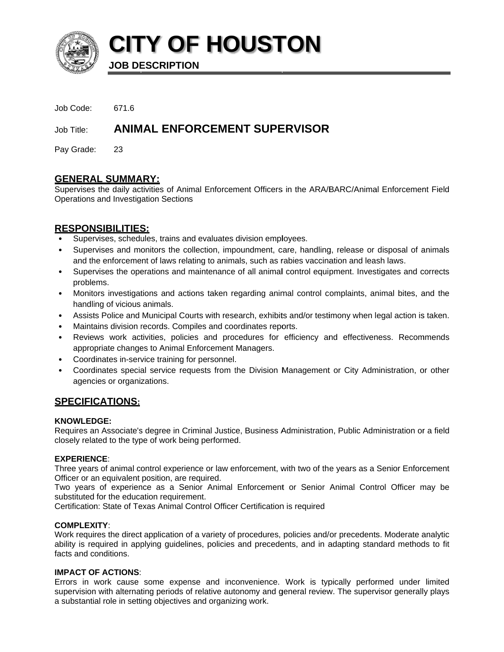

**CITY OF HOUSTON** 

**JOB DESCRIPTION** 

| Job Code: | 671.6 |
|-----------|-------|
|           |       |

**ANIMAL ENFORCEMENT SUPERVISOR** Job Title:

Pay Grade: 23

# **GENERAL SUMMARY:**

Supervises the daily activities of Animal Enforcement Officers in the ARA/BARC/Animal Enforcement Field Operations and Investigation Sections

# **RESPONSIBILITIES:**

- Supervises, schedules, trains and evaluates division employees.
- Supervises and monitors the collection, impoundment, care, handling, release or disposal of animals and the enforcement of laws relating to animals, such as rabies vaccination and leash laws.
- Supervises the operations and maintenance of all animal control equipment. Investigates and corrects problems.
- Monitors investigations and actions taken regarding animal control complaints, animal bites, and the handling of vicious animals.
- Assists Police and Municipal Courts with research, exhibits and/or testimony when legal action is taken.
- Maintains division records. Compiles and coordinates reports.
- Reviews work activities, policies and procedures for efficiency and effectiveness. Recommends appropriate changes to Animal Enforcement Managers.
- Coordinates in-service training for personnel.
- Coordinates special service requests from the Division Management or City Administration, or other agencies or organizations.

# <u>SPECIFICATIONS:</u>

### **KNOWLEDGE:**

Requires an Associate's degree in Criminal Justice, Business Administration, Public Administration or a field closely related to the type of work being performed.

## **EXPERIENCE:**

Three years of animal control experience or law enforcement, with two of the years as a Senior Enforcement Officer or an equivalent position, are required.

Two years of experience as a Senior Animal Enforcement or Senior Animal Control Officer may be substituted for the education requirement.

Certification: State of Texas Animal Control Officer Certification is required

## **COMPLEXITY:**

Work requires the direct application of a variety of procedures, policies and/or precedents. Moderate analytic ability is required in applying quidelines, policies and precedents, and in adapting standard methods to fit facts and conditions.

## **IMPACT OF ACTIONS:**

Errors in work cause some expense and inconvenience. Work is typically performed under limited supervision with alternating periods of relative autonomy and general review. The supervisor generally plays a substantial role in setting objectives and organizing work.